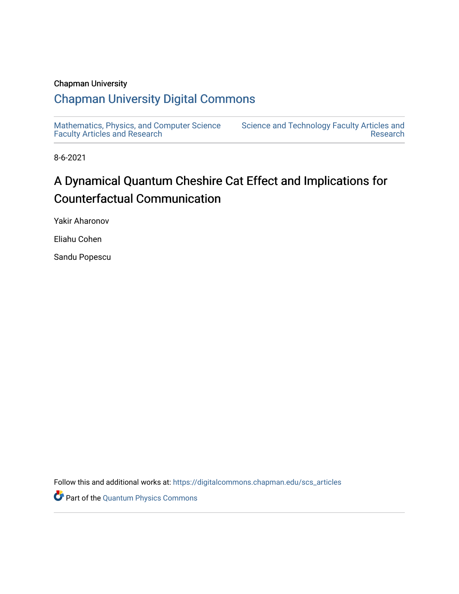## Chapman University

## [Chapman University Digital Commons](https://digitalcommons.chapman.edu/)

[Mathematics, Physics, and Computer Science](https://digitalcommons.chapman.edu/scs_articles)  [Faculty Articles and Research](https://digitalcommons.chapman.edu/scs_articles)

[Science and Technology Faculty Articles and](https://digitalcommons.chapman.edu/science_articles)  [Research](https://digitalcommons.chapman.edu/science_articles) 

8-6-2021

## A Dynamical Quantum Cheshire Cat Effect and Implications for Counterfactual Communication

Yakir Aharonov

Eliahu Cohen

Sandu Popescu

Follow this and additional works at: [https://digitalcommons.chapman.edu/scs\\_articles](https://digitalcommons.chapman.edu/scs_articles?utm_source=digitalcommons.chapman.edu%2Fscs_articles%2F728&utm_medium=PDF&utm_campaign=PDFCoverPages) 

Part of the [Quantum Physics Commons](http://network.bepress.com/hgg/discipline/206?utm_source=digitalcommons.chapman.edu%2Fscs_articles%2F728&utm_medium=PDF&utm_campaign=PDFCoverPages)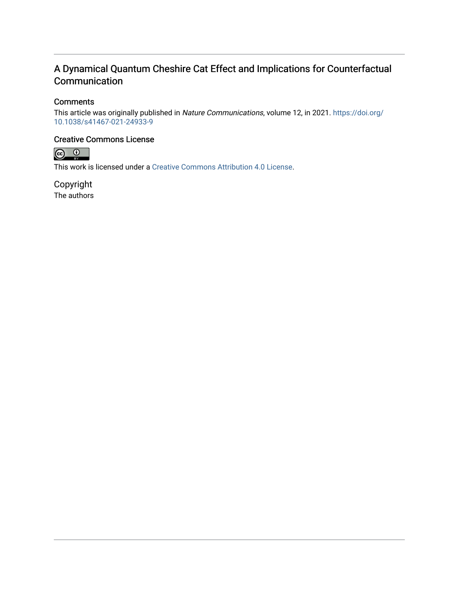## A Dynamical Quantum Cheshire Cat Effect and Implications for Counterfactual Communication

## **Comments**

This article was originally published in Nature Communications, volume 12, in 2021. [https://doi.org/](https://doi.org/10.1038/s41467-021-24933-9) [10.1038/s41467-021-24933-9](https://doi.org/10.1038/s41467-021-24933-9)

### Creative Commons License



This work is licensed under a [Creative Commons Attribution 4.0 License](https://creativecommons.org/licenses/by/4.0/).

Copyright The authors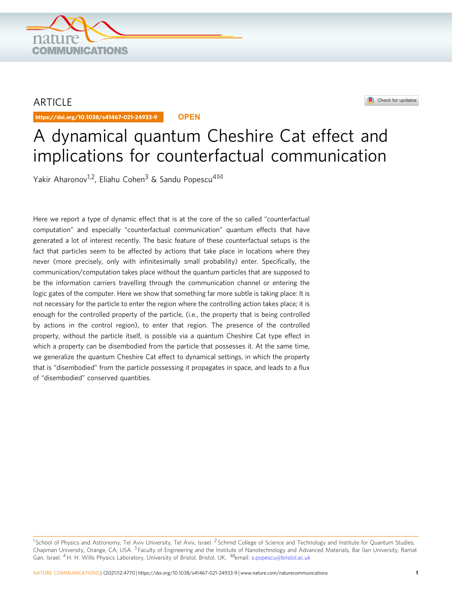

## ARTICLE

https://doi.org/10.1038/s41467-021-24933-9 **OPEN**

### Check for updates

# A dynamical quantum Cheshire Cat effect and implications for counterfactual communication

Yakir Aharonov<sup>1,2</sup>, Eliahu Cohen<sup>3</sup> & Sandu Popescu<sup>4 $\boxtimes$ </sup>

Here we report a type of dynamic effect that is at the core of the so called "counterfactual computation" and especially "counterfactual communication" quantum effects that have generated a lot of interest recently. The basic feature of these counterfactual setups is the fact that particles seem to be affected by actions that take place in locations where they never (more precisely, only with infinitesimally small probability) enter. Specifically, the communication/computation takes place without the quantum particles that are supposed to be the information carriers travelling through the communication channel or entering the logic gates of the computer. Here we show that something far more subtle is taking place: It is not necessary for the particle to enter the region where the controlling action takes place; it is enough for the controlled property of the particle, (i.e., the property that is being controlled by actions in the control region), to enter that region. The presence of the controlled property, without the particle itself, is possible via a quantum Cheshire Cat type effect in which a property can be disembodied from the particle that possesses it. At the same time, we generalize the quantum Cheshire Cat effect to dynamical settings, in which the property that is "disembodied" from the particle possessing it propagates in space, and leads to a flux of "disembodied" conserved quantities.

 $1$ School of Physics and Astronomy, Tel Aviv University, Tel Aviv, Israel. <sup>2</sup> Schmid College of Science and Technology and Institute for Quantum Studies, Chapman University, Orange, CA, USA. <sup>3</sup> Faculty of Engineering and the Institute of Nanotechnology and Advanced Materials, Bar Ilan University, Ramat Gan, Israel. <sup>4</sup>H. H. Wills Physics Laboratory, University of Bristol, Bristol, UK. <sup>⊠</sup>email: [s.popescu@bristol.ac.uk](mailto:s.popescu@bristol.ac.uk)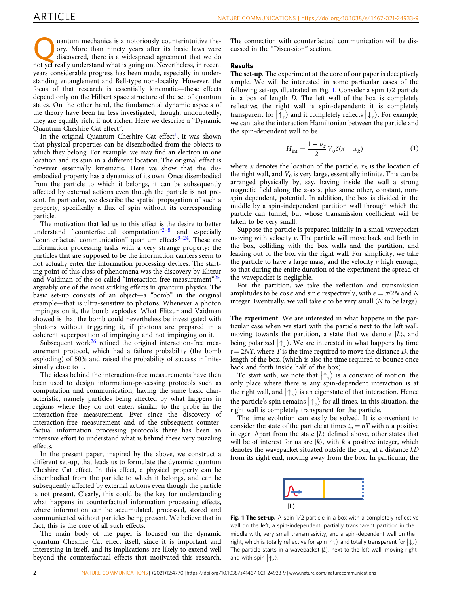uantum mechanics is a notoriously counterintuitive theory. More than ninety years after its basic laws were discovered, there is a widespread agreement that we do not yet really understand what is going on. Nevertheless, in recent years considerable progress has been made, especially in understanding entanglement and Bell-type non-locality. However, the focus of that research is essentially kinematic—these effects depend only on the Hilbert space structure of the set of quantum states. On the other hand, the fundamental dynamic aspects of the theory have been far less investigated, though, undoubtedly, they are equally rich, if not richer. Here we describe a "Dynamic Quantum Cheshire Cat effect".

In the original Quantum Cheshire Cat effect<sup>1</sup>, it was shown that physical properties can be disembodied from the objects to which they belong. For example, we may find an electron in one location and its spin in a different location. The original effect is however essentially kinematic. Here we show that the disembodied property has a dynamics of its own. Once disembodied from the particle to which it belongs, it can be subsequently affected by external actions even though the particle is not present. In particular, we describe the spatial propagation of such a property, specifically a flux of spin without its corresponding particle.

The motivation that led us to this effect is the desire to better understand "counterfactual computation" $2^{-8}$  $2^{-8}$  $2^{-8}$  $2^{-8}$  and especially "counterfactual communication" quantum effects $9-24$  $9-24$ . These are information processing tasks with a very strange property: the particles that are supposed to be the information carriers seem to not actually enter the information processing devices. The starting point of this class of phenomena was the discovery by Elitzur and Vaidman of the so-called "interaction-free measurement"[25,](#page-9-0) arguably one of the most striking effects in quantum physics. The basic set-up consists of an object—a "bomb" in the original example—that is ultra-sensitive to photons. Whenever a photon impinges on it, the bomb explodes. What Elitzur and Vaidman showed is that the bomb could nevertheless be investigated with photons without triggering it, if photons are prepared in a coherent superposition of impinging and not impinging on it.

Subsequent work $26$  refined the original interaction-free measurement protocol, which had a failure probability (the bomb exploding) of 50% and raised the probability of success infinitesimally close to 1.

The ideas behind the interaction-free measurements have then been used to design information-processing protocols such as computation and communication, having the same basic characteristic, namely particles being affected by what happens in regions where they do not enter, similar to the probe in the interaction-free measurement. Ever since the discovery of interaction-free measurement and of the subsequent counterfactual information processing protocols there has been an intensive effort to understand what is behind these very puzzling effects.

In the present paper, inspired by the above, we construct a different set-up, that leads us to formulate the dynamic quantum Cheshire Cat effect. In this effect, a physical property can be disembodied from the particle to which it belongs, and can be subsequently affected by external actions even though the particle is not present. Clearly, this could be the key for understanding what happens in counterfactual information processing effects, where information can be accumulated, processed, stored and communicated without particles being present. We believe that in fact, this is the core of all such effects.

The main body of the paper is focused on the dynamic quantum Cheshire Cat effect itself, since it is important and interesting in itself, and its implications are likely to extend well beyond the counterfactual effects that motivated this research. The connection with counterfactual communication will be discussed in the "Discussion" section.

#### Results

The set-up. The experiment at the core of our paper is deceptively simple. We will be interested in some particular cases of the following set-up, illustrated in Fig. 1. Consider a spin 1/2 particle in a box of length D. The left wall of the box is completely reflective; the right wall is spin-dependent: it is completely transparent for  $|\uparrow_z\rangle$  and it completely reflects  $|\downarrow_z\rangle$ . For example, we can take the interaction Hamiltonian between the particle and the spin-dependent wall to be

$$
\hat{H}_{\text{int}} = \frac{1 - \sigma_z}{2} V_0 \delta(x - x_R)
$$
\n(1)

where x denotes the location of the particle,  $x_R$  is the location of the right wall, and  $V_0$  is very large, essentially infinite. This can be arranged physically by, say, having inside the wall a strong magnetic field along the z-axis, plus some other, constant, nonspin dependent, potential. In addition, the box is divided in the middle by a spin-independent partition wall through which the particle can tunnel, but whose transmission coefficient will be taken to be very small.

Suppose the particle is prepared initially in a small wavepacket moving with velocity  $\nu$ . The particle will move back and forth in the box, colliding with the box walls and the partition, and leaking out of the box via the right wall. For simplicity, we take the particle to have a large mass, and the velocity  $\nu$  high enough, so that during the entire duration of the experiment the spread of the wavepacket is negligible.

For the partition, we take the reflection and transmission amplitudes to be cos  $\epsilon$  and sin  $\epsilon$  respectively, with  $\epsilon = \pi/2N$  and N integer. Eventually, we will take  $\epsilon$  to be very small (N to be large).

The experiment. We are interested in what happens in the particular case when we start with the particle next to the left wall, moving towards the partition, a state that we denote  $|L\rangle$ , and being polarized  $|\uparrow_z\rangle$ . We are interested in what happens by time  $t = 2NT$ , where T is the time required to move the distance D, the length of the box, (which is also the time required to bounce once back and forth inside half of the box).

To start with, we note that  $|\uparrow_z\rangle$  is a constant of motion: the only place where there is any spin-dependent interaction is at the right wall, and  $|\uparrow_z\rangle$  is an eigenstate of that interaction. Hence the particle's spin remains  $|\uparrow_z\rangle$  for all times. In this situation, the right wall is completely transparent for the particle.

The time evolution can easily be solved. It is convenient to consider the state of the particle at times  $t_n = nT$  with *n* a positive integer. Apart from the state  $|L\rangle$  defined above, other states that will be of interest for us are  $|k\rangle$ , with k a positive integer, which denotes the wavepacket situated outside the box, at a distance kD from its right end, moving away from the box. In particular, the



Fig. 1 The set-up. A spin 1/2 particle in a box with a completely reflective wall on the left, a spin-independent, partially transparent partition in the middle with, very small transmissivity, and a spin-dependent wall on the right, which is totally reflective for spin  $|\uparrow_z\rangle$  and totally transparent for  $|\downarrow_z\rangle$ . The particle starts in a wavepacket  $|L\rangle$ , next to the left wall, moving right and with spin  $|\uparrow_z\rangle$ .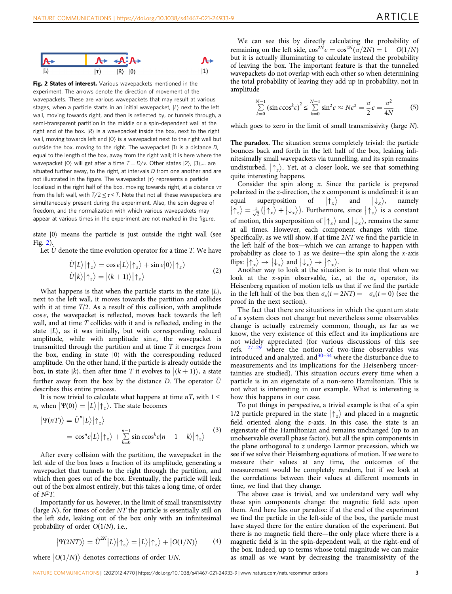<span id="page-4-0"></span>

Fig. 2 States of interest. Various wavepackets mentioned in the experiment. The arrows denote the direction of movement of the wavepackets. These are various wavepackets that may result at various stages, when a particle starts in an initial wavepacket,  $|L\rangle$  next to the left wall, moving towards right, and then is reflected by, or tunnels through, a semi-transparent partition in the middle or a spin-dependent wall at the right end of the box.  $|R\rangle$  is a wavepacket inside the box, next to the right wall, moving towards left and  $|0\rangle$  is a wavepacket next to the right wall but outside the box, moving to the right. The wavepacket  $|1\rangle$  is a distance D. equal to the length of the box, away from the right wall; it is here where the wavepacket  $|0\rangle$  will get after a time  $T = D/v$ . Other states  $|2\rangle$ ,  $|3\rangle$ ,... are situated further away, to the right, at intervals D from one another and are not illustrated in the figure. The wavepacket  $|\tau\rangle$  represents a particle localized in the right half of the box, moving towards right, at a distance  $v\tau$ from the left wall, with  $T/2 \leq \tau < T$ . Note that not all these wavepackets are simultaneously present during the experiment. Also, the spin degree of freedom, and the normalization with which various wavepackets may appear at various times in the experiment are not marked in the figure.

state  $|0\rangle$  means the particle is just outside the right wall (see Fig. 2).

Let  $\hat{U}$  denote the time evolution operator for a time T. We have

$$
\hat{U}|L\rangle|\uparrow_z\rangle = \cos\epsilon|L\rangle|\uparrow_z\rangle + \sin\epsilon|0\rangle|\uparrow_z\rangle
$$
  

$$
\hat{U}|k\rangle|\uparrow_z\rangle = |(k+1)\rangle|\uparrow_z\rangle
$$
 (2)

What happens is that when the particle starts in the state  $|L\rangle$ , next to the left wall, it moves towards the partition and collides with it at time T/2. As a result of this collision, with amplitude  $\cos \epsilon$ , the wavepacket is reflected, moves back towards the left wall, and at time T collides with it and is reflected, ending in the state  $|L\rangle$ , as it was initially, but with corresponding reduced amplitude, while with amplitude sin  $\epsilon$ , the wavepacket is transmitted through the partition and at time T it emerges from the box, ending in state  $|0\rangle$  with the corresponding reduced amplitude. On the other hand, if the particle is already outside the box, in state  $|k\rangle$ , then after time T it evolves to  $|(k+1)\rangle$ , a state further away from the box by the distance D. The operator  $\hat{U}$ describes this entire process.

It is now trivial to calculate what happens at time  $nT$ , with  $1 \le$ *n*, when  $|\Psi(0)\rangle = |L\rangle |\uparrow_z\rangle$ . The state becomes

$$
\begin{aligned} \left| \Psi(nT) \right\rangle &= \hat{U}^n |L\rangle |\!\uparrow_z\rangle \\ &= \cos^n \epsilon |L\rangle |\!\uparrow_z\rangle + \sum_{k=0}^{n-1} \sin \epsilon \cos^k \epsilon |n-1-k\rangle |\!\uparrow_z\rangle \end{aligned} \tag{3}
$$

After every collision with the partition, the wavepacket in the left side of the box loses a fraction of its amplitude, generating a wavepacket that tunnels to the right through the partition, and which then goes out of the box. Eventually, the particle will leak out of the box almost entirely, but this takes a long time, of order of  $N^2T$ .

Importantly for us, however, in the limit of small transmissivity (large N), for times of order NT the particle is essentially still on the left side, leaking out of the box only with an infinitesimal probability of order O(1/N), i.e.,

$$
|\Psi(2NT)\rangle = \hat{U}^{2N} |L\rangle |\!\uparrow_z\rangle = |L\rangle |\!\uparrow_z\rangle + |O(1/N)\rangle \tag{4}
$$

where  $|O(1/N)\rangle$  denotes corrections of order 1/N.

$$
\sum_{k=0}^{N-1} (\sin \epsilon \cos^k \epsilon)^2 \le \sum_{k=0}^{N-1} \sin^2 \epsilon \approx N \epsilon^2 = \frac{\pi}{2} \epsilon = \frac{\pi^2}{4N}
$$
 (5)

which goes to zero in the limit of small transmissivity (large N).

The paradox. The situation seems completely trivial: the particle bounces back and forth in the left half of the box, leaking infinitesimally small wavepackets via tunnelling, and its spin remains undisturbed,  $|\uparrow_z\rangle$ . Yet, at a closer look, we see that something quite interesting happens.

Consider the spin along  $x$ . Since the particle is prepared polarized in the  $z$ -direction, the  $x$  component is undefined: it is an equal superposition of  $|\uparrow_x\rangle$  and  $|\downarrow_x\rangle$ , namely  $|\uparrow_z\rangle = \frac{1}{\sqrt{2}} (|\uparrow_x\rangle + |\downarrow_x\rangle)$ . Furthermore, since  $|\uparrow_z\rangle$  is a constant of motion, this superposition of  $|\uparrow_x\rangle$  and  $|\downarrow_x\rangle$ , remains the same at all times. However, each component changes with time. Specifically, as we will show, if at time 2NT we find the particle in the left half of the box—which we can arrange to happen with probability as close to 1 as we desire—the spin along the  $x$ -axis flips:  $|\uparrow_x\rangle \rightarrow |\downarrow_x\rangle$  and  $|\downarrow_x\rangle \rightarrow |\uparrow_x\rangle$ .

Another way to look at the situation is to note that when we look at the x-spin observable, i.e., at the  $\sigma_x$  operator, its Heisenberg equation of motion tells us that if we find the particle in the left half of the box then  $\sigma_x(t = 2NT) = -\sigma_x(t = 0)$  (see the proof in the next section).

The fact that there are situations in which the quantum state of a system does not change but nevertheless some observables change is actually extremely common, though, as far as we know, the very existence of this effect and its implications are not widely appreciated (for various discussions of this see refs.  $27-29$  $27-29$  $27-29$  where the notion of two-time observables was introduced and analyzed, and  $30-34$  $30-34$  $30-34$  where the disturbance due to measurements and its implications for the Heisenberg uncertainties are studied). This situation occurs every time when a particle is in an eigenstate of a non-zero Hamiltonian. This is not what is interesting in our example. What is interesting is how this happens in our case.

To put things in perspective, a trivial example is that of a spin 1/2 particle prepared in the state  $|\uparrow_z\rangle$  and placed in a magnetic field oriented along the z-axis. In this case, the state is an eigenstate of the Hamiltonian and remains unchanged (up to an unobservable overall phase factor), but all the spin components in the plane orthogonal to  $z$  undergo Larmor precession, which we see if we solve their Heisenberg equations of motion. If we were to measure their values at any time, the outcomes of the measurement would be completely random, but if we look at the correlations between their values at different moments in time, we find that they change.

The above case is trivial, and we understand very well why these spin components change: the magnetic field acts upon them. And here lies our paradox: if at the end of the experiment we find the particle in the left-side of the box, the particle must have stayed there for the entire duration of the experiment. But there is no magnetic field there—the only place where there is a magnetic field is in the spin-dependent wall, at the right-end of the box. Indeed, up to terms whose total magnitude we can make as small as we want by decreasing the transmissivity of the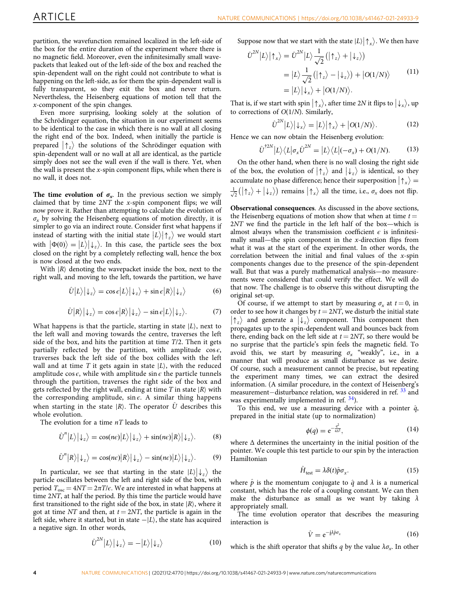<span id="page-5-0"></span>partition, the wavefunction remained localized in the left-side of the box for the entire duration of the experiment where there is no magnetic field. Moreover, even the infinitesimally small wavepackets that leaked out of the left-side of the box and reached the spin-dependent wall on the right could not contribute to what is happening on the left-side, as for them the spin-dependent wall is fully transparent, so they exit the box and never return. Nevertheless, the Heisenberg equations of motion tell that the x-component of the spin changes.

Even more surprising, looking solely at the solution of the Schrödinger equation, the situation in our experiment seems to be identical to the case in which there is no wall at all closing the right end of the box. Indeed, when initially the particle is prepared  $|\uparrow_z\rangle$  the solutions of the Schrödinger equation with spin-dependent wall or no wall at all are identical, as the particle simply does not see the wall even if the wall is there. Yet, when the wall is present the  $x$ -spin component flips, while when there is no wall, it does not.

The time evolution of  $\sigma_x$ . In the previous section we simply claimed that by time 2NT the x-spin component flips; we will now prove it. Rather than attempting to calculate the evolution of  $\sigma_x$  by solving the Heisenberg equations of motion directly, it is simpler to go via an indirect route. Consider first what happens if instead of starting with the initial state  $|L\rangle|\uparrow_z\rangle$  we would start with  $| \Phi(0) \rangle = | L \rangle | \downarrow_z \rangle$ . In this case, the particle sees the box closed on the right by a completely reflecting wall, hence the box is now closed at the two ends.

With  $|R\rangle$  denoting the wavepacket inside the box, next to the right wall, and moving to the left, towards the partition, we have

$$
\hat{U}|L\rangle|\downarrow_z\rangle = \cos\epsilon|L\rangle|\downarrow_z\rangle + \sin\epsilon|R\rangle|\downarrow_z\rangle \tag{6}
$$

$$
\hat{U}|R\rangle|\downarrow_z\rangle = \cos\epsilon|R\rangle|\downarrow_z\rangle - \sin\epsilon|L\rangle|\downarrow_z\rangle. \tag{7}
$$

What happens is that the particle, starting in state  $|L\rangle$ , next to the left wall and moving towards the centre, traverses the left side of the box, and hits the partition at time  $T/2$ . Then it gets partially reflected by the partition, with amplitude  $\cos \epsilon$ , traverses back the left side of the box collides with the left wall and at time T it gets again in state  $|L\rangle$ , with the reduced amplitude cos  $\epsilon$ , while with amplitude sin  $\epsilon$  the particle tunnels through the partition, traverses the right side of the box and gets reflected by the right wall, ending at time T in state  $|R\rangle$  with the corresponding amplitude, sin  $\epsilon$ . A similar thing happens when starting in the state  $|R\rangle$ . The operator  $\hat{U}$  describes this whole evolution.

The evolution for a time  $nT$  leads to

$$
\hat{U}^n |L\rangle |\downarrow_z\rangle = \cos(n\epsilon)|L\rangle |\downarrow_z\rangle + \sin(n\epsilon)|R\rangle |\downarrow_z\rangle. \tag{8}
$$

$$
\hat{U}^n |R\rangle |\downarrow_z\rangle = \cos(n\epsilon)|R\rangle |\downarrow_z\rangle - \sin(n\epsilon)|L\rangle |\downarrow_z\rangle.
$$
 (9)

In particular, we see that starting in the state  $|L\rangle |\downarrow_z\rangle$  the particle oscillates between the left and right side of the box, with period  $T_{osc} = 4NT = 2\pi T/\epsilon$ . We are interested in what happens at time 2NT, at half the period. By this time the particle would have first transitioned to the right side of the box, in state  $|R\rangle$ , where it got at time NT and then, at  $t = 2NT$ , the particle is again in the Left side, where it started, but in state  $-|L\rangle$ , the state has acquired a negative sign. In other words,

$$
\hat{U}^{2N}|L\rangle|\downarrow_z\rangle = -|L\rangle|\downarrow_z\rangle \tag{10}
$$

Suppose now that we start with the state  $|L\rangle |\!\uparrow_x\rangle$ . We then have

$$
\hat{U}^{2N} |L\rangle |\uparrow_x\rangle = \hat{U}^{2N} |L\rangle \frac{1}{\sqrt{2}} (|\uparrow_z\rangle + |\downarrow_z\rangle)
$$
  
=  $|L\rangle \frac{1}{\sqrt{2}} (|\uparrow_z\rangle - |\downarrow_z\rangle) + |O(1/N)\rangle$  (11)  
=  $|L\rangle |\downarrow_x\rangle + |O(1/N)\rangle$ .

That is, if we start with spin  $|\uparrow_x\rangle$ , after time 2N it flips to  $|\downarrow_x\rangle$ , up to corrections of  $O(1/N)$ . Similarly,

$$
U^{2N}|L\rangle|\downarrow_{x}\rangle=|L\rangle|\uparrow_{x}\rangle+|O(1/N)\rangle.
$$
 (12)

Hence we can now obtain the Heisenberg evolution:

 $\check{I}$ 

$$
\hat{U}^{\dagger 2N} |L\rangle\langle L|\sigma_x \hat{U}^{2N} = |L\rangle\langle L|(-\sigma_x) + O(1/N). \tag{13}
$$

On the other hand, when there is no wall closing the right side of the box, the evolution of  $|\uparrow_z\rangle$  and  $|\downarrow_z\rangle$  is identical, so they accumulate no phase difference; hence their superposition  $|\uparrow_x\rangle$  =  $\frac{1}{\sqrt{2}}(|\uparrow_z\rangle + |\downarrow_z\rangle)$  remains  $|\uparrow_x\rangle$  all the time, i.e.,  $\sigma_x$  does not flip.

Observational consequences. As discussed in the above sections, the Heisenberg equations of motion show that when at time  $t =$ 2NT we find the particle in the left half of the box—which is almost always when the transmission coefficient  $\epsilon$  is infinitesimally small—the spin component in the  $x$ -direction flips from what it was at the start of the experiment. In other words, the correlation between the initial and final values of the x-spin components changes due to the presence of the spin-dependent wall. But that was a purely mathematical analysis—no measurements were considered that could verify the effect. We will do that now. The challenge is to observe this without disrupting the original set-up.

Of course, if we attempt to start by measuring  $\sigma_x$  at  $t = 0$ , in order to see how it changes by  $t = 2NT$ , we disturb the initial state  $|\uparrow_z\rangle$  and generate a  $|\downarrow_z\rangle$  component. This component then propagates up to the spin-dependent wall and bounces back from there, ending back on the left side at  $t = 2NT$ , so there would be no surprise that the particle's spin feels the magnetic field. To avoid this, we start by measuring  $\sigma_x$  "weakly", i.e., in a manner that will produce as small disturbance as we desire. Of course, such a measurement cannot be precise, but repeating the experiment many times, we can extract the desired information. (A similar procedure, in the context of Heisenberg's measurement–disturbance relation, was considered in ref. <sup>[33](#page-9-0)</sup> and was experimentally implemented in ref.  $34$ ).

To this end, we use a measuring device with a pointer  $\hat{q}$ , prepared in the initial state (up to normalization)

$$
\phi(q) = e^{-\frac{q^2}{4\Delta^2}},\tag{14}
$$

where  $\Delta$  determines the uncertainty in the initial position of the pointer. We couple this test particle to our spin by the interaction Hamiltonian

$$
\hat{H}_{\text{test}} = \lambda \delta(t) \hat{p} \sigma_x. \tag{15}
$$

where  $\hat{p}$  is the momentum conjugate to  $\hat{q}$  and  $\lambda$  is a numerical constant, which has the role of a coupling constant. We can then make the disturbance as small as we want by taking  $\lambda$ appropriately small.

The time evolution operator that describes the measuring interaction is

$$
\hat{V} = e^{-\frac{i}{\hbar}\lambda \hat{p}\sigma_x}
$$
 (16)

which is the shift operator that shifts q by the value  $\lambda \sigma_x$ . In other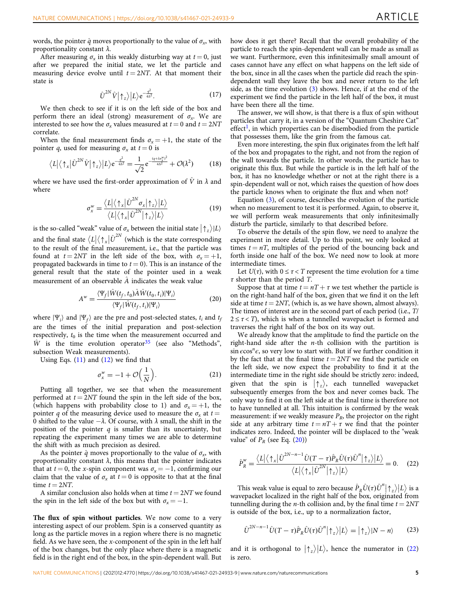<span id="page-6-0"></span>words, the pointer  $\hat{q}$  moves proportionally to the value of  $\sigma_x$ , with proportionality constant  $\lambda$ .

After measuring  $\sigma_x$  in this weakly disturbing way at  $t = 0$ , just after we prepared the initial state, we let the particle and measuring device evolve until  $t = 2NT$ . At that moment their state is

$$
\hat{U}^{2N}\hat{V}|\uparrow_z\rangle|L\rangle e^{-\frac{q^2}{4\Delta^2}}.\tag{17}
$$

We then check to see if it is on the left side of the box and perform there an ideal (strong) measurement of  $\sigma_{x}$ . We are interested to see how the  $\sigma_x$  values measured at  $t = 0$  and  $t = 2NT$ correlate.

When the final measurement finds  $\sigma_x = +1$ , the state of the pointer q, used for measuring  $\sigma_x$  at  $t = 0$  is

$$
\langle L|\langle \uparrow_x|\hat{U}^{2N}\hat{V}|\uparrow_z\rangle |L\rangle e^{-\frac{q^2}{4\Delta^2}} = \frac{1}{\sqrt{2}}e^{-\frac{(q+\lambda e_x^w)^2}{4\Delta^2}} + \mathcal{O}(\lambda^2)
$$
 (18)

where we have used the first-order approximation of  $\hat{V}$  in  $\lambda$  and where

$$
\sigma_x^w = \frac{\langle L|\langle \uparrow_x|\hat{U}^{2N}\sigma_x|\uparrow_z\rangle|L\rangle}{\langle L|\langle \uparrow_x|\hat{U}^{2N}|\uparrow_z\rangle|L\rangle} \tag{19}
$$

is the so-called "weak" value of  $\sigma_x$  between the initial state  $|\uparrow_z\rangle|L\rangle$ and the final state  $\langle L | \langle \uparrow_x | \hat{U}^{2N} \rangle$  (which is the state corresponding to the result of the final measurement, i.e., that the particle was found at  $t = 2NT$  in the left side of the box, with  $\sigma_x = +1$ , propagated backwards in time to  $t = 0$ ). This is an instance of the general result that the state of the pointer used in a weak measurement of an observable  $\hat{A}$  indicates the weak value

$$
A^w = \frac{\langle \Psi_f | \hat{W}(t_f, t_0) \hat{A} \hat{W}(t_0, t_i) | \Psi_i \rangle}{\langle \Psi_f | \hat{W}(t_f, t_i) | \Psi_i \rangle} \tag{20}
$$

where  $|\Psi_i\rangle$  and  $|\Psi_f\rangle$  are the pre and post-selected states,  $t_i$  and  $t_j$ are the times of the initial preparation and post-selection respectively,  $t_0$  is the time when the measurement occurred and  $\hat{W}$  is the time evolution operator<sup>[35](#page-9-0)</sup> (see also "Methods", subsection Weak measurements).

Using Eqs.  $(11)$  $(11)$  and  $(12)$  $(12)$  we find that

$$
\sigma_x^w = -1 + \mathcal{O}\left(\frac{1}{N}\right). \tag{21}
$$

Putting all together, we see that when the measurement performed at  $t = 2NT$  found the spin in the left side of the box, (which happens with probability close to 1) and  $\sigma_x = +1$ , the pointer q of the measuring device used to measure the  $\sigma_r$  at  $t =$ 0 shifted to the value  $-\lambda$ . Of course, with  $\lambda$  small, the shift in the position of the pointer  $q$  is smaller than its uncertainty, but repeating the experiment many times we are able to determine the shift with as much precision as desired.

As the pointer  $\hat{q}$  moves proportionally to the value of  $\sigma_x$ , with proportionality constant  $\lambda$ , this means that the pointer indicates that at  $t = 0$ , the x-spin component was  $\sigma<sub>x</sub> = -1$ , confirming our claim that the value of  $\sigma_x$  at  $t = 0$  is opposite to that at the final time  $t = 2NT$ .

A similar conclusion also holds when at time  $t = 2NT$  we found the spin in the left side of the box but with  $\sigma_x = -1$ .

The flux of spin without particles. We now come to a very interesting aspect of our problem. Spin is a conserved quantity as long as the particle moves in a region where there is no magnetic field. As we have seen, the x-component of the spin in the left half of the box changes, but the only place where there is a magnetic field is in the right end of the box, in the spin-dependent wall. But

how does it get there? Recall that the overall probability of the particle to reach the spin-dependent wall can be made as small as we want. Furthermore, even this infinitesimally small amount of cases cannot have any effect on what happens on the left side of the box, since in all the cases when the particle did reach the spindependent wall they leave the box and never return to the left side, as the time evolution ([3](#page-4-0)) shows. Hence, if at the end of the experiment we find the particle in the left half of the box, it must have been there all the time.

The answer, we will show, is that there is a flux of spin without particles that carry it, in a version of the "Quantum Cheshire Cat" effect<sup>[1](#page-8-0)</sup>, in which properties can be disembodied from the particle that possesses them, like the grin from the famous cat.

Even more interesting, the spin flux originates from the left half of the box and propagates to the right, and not from the region of the wall towards the particle. In other words, the particle has to originate this flux. But while the particle is in the left half of the box, it has no knowledge whether or not at the right there is a spin-dependent wall or not, which raises the question of how does the particle knows when to originate the flux and when not?

Equation ([3](#page-4-0)), of course, describes the evolution of the particle when no measurement to test it is performed. Again, to observe it, we will perform weak measurements that only infinitesimally disturb the particle, similarly to that described before.

To observe the details of the spin flow, we need to analyze the experiment in more detail. Up to this point, we only looked at times  $t = nT$ , multiples of the period of the bouncing back and forth inside one half of the box. We need now to look at more intermediate times.

Let  $U(\tau)$ , with  $0 \leq \tau < T$  represent the time evolution for a time  $\tau$  shorter than the period T.

Suppose that at time  $t = nT + \tau$  we test whether the particle is on the right-hand half of the box, given that we find it on the left side at time  $t = 2NT$ , (which is, as we have shown, almost always). The times of interest are in the second part of each period (i.e., T/  $2 \leq \tau < T$ ), which is when a tunnelled wavepacket is formed and traverses the right half of the box on its way out.

We already know that the amplitude to find the particle on the right-hand side after the  $n$ -th collision with the partition is  $\sin \epsilon \cos^{n} \epsilon$ , so very low to start with. But if we further condition it by the fact that at the final time  $t = 2NT$  we find the particle on the left side, we now expect the probability to find it at the intermediate time in the right side should be strictly zero: indeed, given that the spin is  $|\uparrow_z\rangle$ , each tunnelled wavepacket subsequently emerges from the box and never comes back. The only way to find it on the left side at the final time is therefore not to have tunnelled at all. This intuition is confirmed by the weak measurement: if we weakly measure  $P_R$ , the projector on the right side at any arbitrary time  $t = nT + \tau$  we find that the pointer indicates zero. Indeed, the pointer will be displaced to the "weak value" of  $P_R$  (see Eq. (20))

$$
\hat{P}_R^w = \frac{\langle L|\langle \uparrow_x|\hat{U}^{2N-n-1}\hat{U}(T-\tau)\hat{P}_R\hat{U}(\tau)\hat{U}^n|\uparrow_z\rangle|L\rangle}{\langle L|\langle \uparrow_x|\hat{U}^{2N}|\uparrow_z\rangle|L\rangle} = 0.
$$
 (22)

This weak value is equal to zero because  $\hat{P}_R \hat{U}(\tau) \hat{U}^n | \uparrow_z \rangle |L\rangle$  is a wavepacket localized in the right half of the box, originated from tunnelling during the *n*-th collision and, by the final time  $t = 2NT$ is outside of the box, i.e., up to a normalization factor,

$$
\hat{U}^{2N-n-1}\hat{U}(T-\tau)\hat{P}_R\hat{U}(\tau)\hat{U}^n|\{\uparrow_z\}\big|L\big\rangle = |\{\uparrow_z\}\,|N-n\rangle\tag{23}
$$

and it is orthogonal to  $|\uparrow_z\rangle|L\rangle$ , hence the numerator in (22) is zero.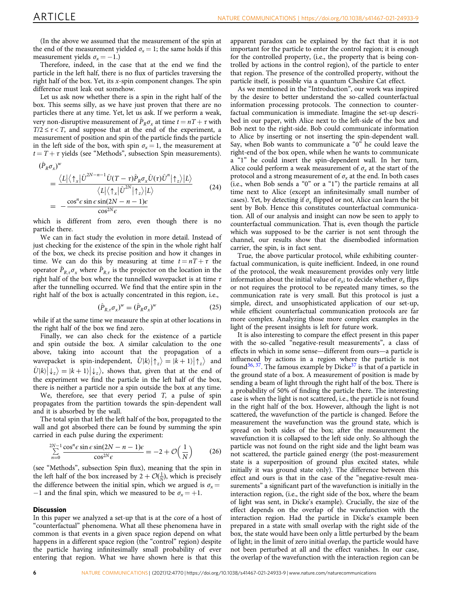<span id="page-7-0"></span>(In the above we assumed that the measurement of the spin at the end of the measurement yielded  $\sigma_x = 1$ ; the same holds if this measurement yields  $\sigma_x = -1.$ )

Therefore, indeed, in the case that at the end we find the particle in the left half, there is no flux of particles traversing the right half of the box. Yet, its  $x$ -spin component changes. The spin difference must leak out somehow.

Let us ask now whether there is a spin in the right half of the box. This seems silly, as we have just proven that there are no particles there at any time. Yet, let us ask. If we perform a weak, very non-disruptive measurement of  $\hat{P}_R \sigma_r$  at time  $t = nT + \tau$  with  $T/2 \leq \tau \lt T$ , and suppose that at the end of the experiment, a measurement of position and spin of the particle finds the particle in the left side of the box, with spin  $\sigma_x = 1$ , the measurement at  $t = T + \tau$  yields (see "Methods", subsection Spin measurements).

$$
(\hat{P}_R \sigma_x)^w
$$
  
= 
$$
\frac{\langle L | \langle \uparrow_x | \hat{U}^{2N-n-1} \hat{U}(T-\tau) \hat{P}_R \sigma_x \hat{U}(\tau) \hat{U}^n | \uparrow_z \rangle |L \rangle}{\langle L | \langle \uparrow_x | \hat{U}^{2N} | \uparrow_z \rangle |L \rangle}
$$
  
= 
$$
-\frac{\cos^n \epsilon \sin \epsilon \sin(2N-n-1) \epsilon}{\cos^{2N} \epsilon}
$$
(24)

which is different from zero, even though there is no particle there.

We can in fact study the evolution in more detail. Instead of just checking for the existence of the spin in the whole right half of the box, we check its precise position and how it changes in time. We can do this by measuring at time  $t = nT + \tau$  the operator  $\ddot{P}_{R,\tau}\sigma_x$  where  $\ddot{P}_{R,\tau}$  is the projector on the location in the right half of the box where the tunnelled wavepacket is at time  $\tau$ after the tunnelling occurred. We find that the entire spin in the right half of the box is actually concentrated in this region, i.e.,

$$
(\hat{P}_{R,\tau}\sigma_x)^w = (\hat{P}_R\sigma_x)^w
$$
\n(25)

while if at the same time we measure the spin at other locations in the right half of the box we find zero.

Finally, we can also check for the existence of a particle and spin outside the box. A similar calculation to the one above, taking into account that the propagation of a wavepacket is spin-independent,  $\hat{U} |k\rangle |\uparrow_z\rangle = |k+1\rangle |\uparrow_z\rangle$  and  $\hat{U} |k\rangle |\psi_z\rangle = |k+1\rangle |\psi_z\rangle$ , shows that, given that at the end of the experiment we find the particle in the left half of the box, there is neither a particle nor a spin outside the box at any time.

We, therefore, see that every period  $T$ , a pulse of spin propagates from the partition towards the spin-dependent wall and it is absorbed by the wall.

The total spin that left the left half of the box, propagated to the wall and got absorbed there can be found by summing the spin carried in each pulse during the experiment:

$$
\sum_{n=0}^{2N-1} \frac{\cos^n \epsilon \sin \epsilon \sin (2N - n - 1)\epsilon}{\cos^{2N} \epsilon} = -2 + \mathcal{O}\left(\frac{1}{N}\right) \tag{26}
$$

(see "Methods", subsection Spin flux), meaning that the spin in the left half of the box increased by  $2 + \mathcal{O}(\frac{1}{N})$ , which is precisely the difference between the initial spin, which we argued is  $\sigma_r =$ −1 and the final spin, which we measured to be  $\sigma_x = +1$ .

#### **Discussion**

In this paper we analyzed a set-up that is at the core of a host of "counterfactual" phenomena. What all these phenomena have in common is that events in a given space region depend on what happens in a different space region (the "control" region) despite the particle having infinitesimally small probability of ever entering that region. What we have shown here is that this

apparent paradox can be explained by the fact that it is not important for the particle to enter the control region; it is enough for the controlled property, (i.e., the property that is being controlled by actions in the control region), of the particle to enter that region. The presence of the controlled property, without the particle itself, is possible via a quantum Cheshire Cat effect.

As we mentioned in the "Introduction", our work was inspired by the desire to better understand the so-called counterfactual information processing protocols. The connection to counterfactual communication is immediate. Imagine the set-up described in our paper, with Alice next to the left-side of the box and Bob next to the right-side. Bob could communicate information to Alice by inserting or not inserting the spin-dependent wall. Say, when Bob wants to communicate a " $0$ " he could leave the right-end of the box open, while when he wants to communicate a "1" he could insert the spin-dependent wall. In her turn, Alice could perform a weak measurement of  $\sigma_x$  at the start of the protocol and a strong measurement of  $\sigma_x$  at the end. In both cases (i.e., when Bob sends a "0" or a "1") the particle remains at all time next to Alice (except an infinitesimally small number of cases). Yet, by detecting if  $\sigma_x$  flipped or not, Alice can learn the bit sent by Bob. Hence this constitutes counterfactual communication. All of our analysis and insight can now be seen to apply to counterfactual communication. That is, even though the particle which was supposed to be the carrier is not sent through the channel, our results show that the disembodied information carrier, the spin, is in fact sent.

True, the above particular protocol, while exhibiting counterfactual communication, is quite inefficient. Indeed, in one round of the protocol, the weak measurement provides only very little information about the initial value of  $\sigma_x$ ; to decide whether  $\sigma_x$  flips or not requires the protocol to be repeated many times, so the communication rate is very small. But this protocol is just a simple, direct, and unsophisticated application of our set-up, while efficient counterfactual communication protocols are far more complex. Analyzing those more complex examples in the light of the present insights is left for future work.

It is also interesting to compare the effect present in this paper with the so-called "negative-result measurements", a class of effects in which in some sense—different from ours—a particle is influenced by actions in a region where the particle is not found<sup>[36](#page-9-0), 37</sup>. The famous example by Dicke<sup>37</sup> is that of a particle in the ground state of a box. A measurement of position is made by sending a beam of light through the right half of the box. There is a probability of 50% of finding the particle there. The interesting case is when the light is not scattered, i.e., the particle is not found in the right half of the box. However, although the light is not scattered, the wavefunction of the particle is changed. Before the measurement the wavefunction was the ground state, which is spread on both sides of the box; after the measurement the wavefunction it is collapsed to the left side only. So although the particle was not found on the right side and the light beam was not scattered, the particle gained energy (the post-measurement state is a superposition of ground plus excited states, while initially it was ground state only). The difference between this effect and ours is that in the case of the "negative-result measurements" a significant part of the wavefunction is initially in the interaction region, (i.e., the right side of the box, where the beam of light was sent, in Dicke's example). Crucially, the size of the effect depends on the overlap of the wavefunction with the interaction region. Had the particle in Dicke's example been prepared in a state with small overlap with the right side of the box, the state would have been only a little perturbed by the beam of light; in the limit of zero initial overlap, the particle would have not been perturbed at all and the effect vanishes. In our case, the overlap of the wavefunction with the interaction region can be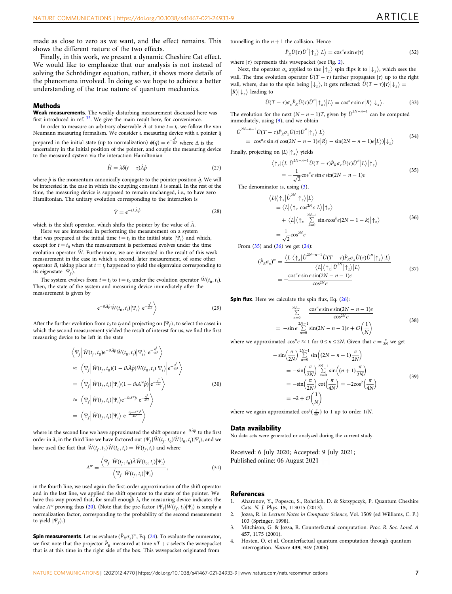<span id="page-8-0"></span>Finally, in this work, we present a dynamic Cheshire Cat effect. We would like to emphasize that our analysis is not instead of solving the Schrödinger equation, rather, it shows more details of the phenomena involved. In doing so we hope to achieve a better understanding of the true nature of quantum mechanics.

#### **Methods**

Weak measurements. The weakly disturbing measurement discussed here was first introduced in ref. [35](#page-9-0). We give the main result here, for convenience.

In order to measure an arbitrary observable  $\hat{A}$  at time  $t = t_0$  we follow the von Neumann measuring formalism. We consider a measuring device with a pointer  $\hat{q}$ 

prepared in the initial state (up to normalization)  $\phi(q) = e^{\frac{q^2}{4\Delta^2}}$  where  $\Delta$  is the uncertainty in the initial position of the pointer, and couple the measuring device to the measured system via the interaction Hamiltonian

$$
\hat{H} = \lambda \delta(t - \tau) \hat{A} \hat{p}
$$
\n(27)

where  $\hat{p}$  is the momentum canonically conjugate to the pointer position  $\hat{q}$ . We will be interested in the case in which the coupling constant  $\lambda$  is small. In the rest of the time, the measuring device is supposed to remain unchanged, i.e., to have zero Hamiltonian. The unitary evolution corresponding to the interaction is

$$
\hat{V} = e^{-i\lambda \hat{A}\hat{p}} \tag{28}
$$

which is the shift operator, which shifts the pointer by the value of  $\hat{A}$ .

Here we are interested in performing the measurement on a system that was prepared at the initial time  $t = t_i$  in the initial state  $|\Psi_i\rangle$  and which, except for  $t = t_0$  when the measurement is performed evolves under the time evolution operator  $\hat{W}$ . Furthermore, we are interested in the result of this weak measurement in the case in which a second, later measurement, of some other operator B, taking place at  $t = t_f$  happened to yield the eigenvalue corresponding to its eigenstate  $|\Psi_f\rangle$ .

The system evolves from  $t = t_i$  to  $t = t_0$  under the evolution operator  $\hat{W}(t_0, t_i)$ . Then, the state of the system and measuring device immediately after the measurement is given by

$$
e^{-i\lambda \hat{A}\hat{p}}\hat{W}(t_0, t_i)|\Psi_i\rangle \bigg| e^{-\frac{q^2}{4\Delta^2}} \bigg\rangle \tag{29}
$$

After the further evolution from  $t_0$  to  $t_f$  and projecting on  $|\Psi_f\rangle$ , to select the cases in which the second measurement yielded the result of interest for us, we find the first measuring device to be left in the state

$$
\langle \Psi_f | \hat{W}(t_f, t_0) e^{-i\lambda \hat{A} \hat{p}} \hat{W}(t_0, t_i) | \Psi_i \rangle | e^{-\frac{q^2}{4\Delta^2}} \rangle \n\approx \langle \Psi_f | \hat{W}(t_f, t_0) (1 - i\lambda \hat{A} \hat{p}) \hat{W}(t_0, t_i) | \Psi_i \rangle | e^{-\frac{q^2}{4\Delta^2}} \rangle \n= \langle \Psi_f | \hat{W}(t_f, t_i) | \Psi_i \rangle (1 - i\lambda A^{\nu} \hat{p}) | e^{-\frac{q^2}{4\Delta^2}} \rangle \n\approx \langle \Psi_f | \hat{W}(t_f, t_i) | \Psi_i \rangle e^{-i\lambda A^{\nu} \hat{p}} | e^{-\frac{q^2}{4\Delta^2}} \rangle \n= \langle \Psi_f | \hat{W}(t_f, t_i) | \Psi_i \rangle | e^{-\frac{(y - \lambda A^{\nu})^2}{4\Delta^2}} \rangle
$$
\n(30)

where in the second line we have approximated the shift operator  $\mathrm{e}^{-\mathrm{i}\lambda\hat{A}\hat{p}}$  to the first order in  $\lambda$ , in the third line we have factored out  $\langle \Psi_f|\hat{W}(t_f,t_0)\hat{W}(t_0,t_i)|\Psi_i\rangle$ , and we have used the fact that  $\hat{W} (t_f, t_0) \hat{W} (t_0, t_i) = \hat{W} (t_f, t_i)$  and where

$$
A^{w} = \frac{\langle \Psi_{f} | \hat{W}(t_{f}, t_{0}) \hat{A} \hat{W}(t_{0}, t_{i}) | \Psi_{i} \rangle}{\langle \Psi_{f} | \hat{W}(t_{f}, t_{i}) | \Psi_{i} \rangle}, \qquad (31)
$$

in the fourth line, we used again the first-order approximation of the shift operator and in the last line, we applied the shift operator to the state of the pointer. We have this way proved that, for small enough  $\lambda$ , the measuring device indicates the value  $A^w$  proving thus ([20\)](#page-6-0). (Note that the pre-factor  $\langle \Psi_f | \hat{W}(t_f, t_i) | \Psi_i \rangle$  is simply a normalization factor, corresponding to the probability of the second measurement to yield  $|\Psi_f\rangle$ .)

**Spin measurements**. Let us evaluate  $(\hat{P}_R \sigma_x)^w$ , Eq. [\(24\)](#page-7-0). To evaluate the numerator, we first note that the projector  $\hat{P}_R$  measured at time  $nT + \tau$  selects the wavepacket that is at this time in the right side of the box. This wavepacket originated from

tunnelling in the  $n + 1$  the collision. Hence

 $\hat{P}_R \hat{U}(\tau) \hat{U}^n | \uparrow_z \rangle | L \rangle = \cos^n \epsilon \sin \epsilon | \tau \rangle$  (32)

where  $|\tau\rangle$  represents this wavepacket (see Fig. [2](#page-4-0)).

Next, the operator  $\sigma_x$  applied to the  $|\uparrow_z\rangle$  spin flips it to  $|\downarrow_z\rangle$ , which sees the wall. The time evolution operator  $\hat{U}(T - \tau)$  further propagates  $|\tau\rangle$  up to the right wall, where, due to the spin being  $|\psi_z\rangle$ , it gets reflected:  $\hat{U}(T - \tau)|\tau\rangle |\psi_z\rangle = |R\rangle |\psi_z\rangle$  leading to  $|R\rangle |\downarrow_z\rangle$  leading to

$$
\hat{U}(T-\tau)\sigma_x\hat{P}_R\hat{U}(\tau)\hat{U}''|\uparrow_z\rangle|L\rangle=\cos^n\epsilon\sin\epsilon|R\rangle|\downarrow_z\rangle.
$$
 (33)

The evolution for the next  $(N - n - 1)T$ , given by  $\hat{U}^{2N-n-1}$  can be computed immediately, using ([9](#page-5-0)), and we obtain

$$
\hat{U}^{2N-n-1}\hat{U}(T-\tau)\hat{P}_R\sigma_x\hat{U}(\tau)\hat{U}''|\uparrow_z\rangle|L\rangle
$$
\n
$$
= \cos^n \varepsilon \sin \varepsilon (\cos(2N-n-1)\varepsilon|R\rangle - \sin(2N-n-1)\varepsilon|L\rangle)|\downarrow_z\rangle
$$
\n(34)

Finally, projecting on  $|L\rangle |\!\uparrow_x\rangle$  yields

$$
\langle \uparrow_{x} | \langle L | \hat{U}^{2N-n-1} \hat{U}(T-\tau) \hat{P}_{R} \sigma_{x} \hat{U}(\tau) \hat{U}^{n} | L \rangle | \uparrow_{z} \rangle
$$
  
= 
$$
-\frac{1}{\sqrt{2}} \cos^{n} \epsilon \sin \epsilon \sin(2N-n-1) \epsilon
$$
 (35)

The denominator is, using [\(3\)](#page-4-0),

$$
\langle L|\langle \uparrow_{x}|\hat{U}^{2N}|\uparrow_{z}\rangle|L\rangle
$$
  
=\langle L|\langle \uparrow\_{x}|\cos^{2N}\epsilon|L\rangle|\uparrow\_{z}\rangle  
+\langle L|\langle \uparrow\_{x}|\sum\_{k=0}^{2N-1}\sin\epsilon\cos^{k}\epsilon|2N-1-k\rangle|\uparrow\_{z}\rangle (36)  
=\frac{1}{\sqrt{2}}\cos^{2N}\epsilon

From  $(35)$  and  $(36)$  we get  $(24)$ :

$$
(\hat{P}_R \sigma_x)^w = \frac{\langle L | \langle \uparrow_x | \hat{U}^{2N-n-1} \hat{U} (T-\tau) \hat{P}_R \sigma_x \hat{U}(\tau) \hat{U}^n | \uparrow_z \rangle | L \rangle}{\langle L | \langle \uparrow_x | \hat{U}^{2N} | \uparrow_z \rangle | L \rangle}
$$
  
= 
$$
-\frac{\cos^n \epsilon \sin \epsilon \sin(2N-n-1) \epsilon}{\cos^{2N} \epsilon}
$$
(37)

**Spin flux**. Here we calculate the spin flux, Eq.  $(26)$  $(26)$ :

$$
\sum_{n=0}^{2N-1} -\frac{\cos^n \epsilon \sin \epsilon \sin(2N-n-1)\epsilon}{\cos^{2N} \epsilon}
$$
\n
$$
= -\sin \epsilon \sum_{n=0}^{2N-1} \sin(2N-n-1)\epsilon + \mathcal{O}\left(\frac{1}{N}\right)
$$
\n(38)

where we approximated  $\cos^n \epsilon \approx 1$  for  $0 \le n \le 2N$ . Given that  $\epsilon = \frac{\pi}{2N}$  we get

$$
-\sin\left(\frac{\pi}{2N}\right) \sum_{n=0}^{2N-1} \sin\left((2N-n-1)\frac{\pi}{2N}\right)
$$
  
=\n
$$
-\sin\left(\frac{\pi}{2N}\right) \sum_{n=0}^{2N-1} \sin\left((n+1)\frac{\pi}{2N}\right)
$$
  
=\n
$$
-\sin\left(\frac{\pi}{2N}\right) \cot\left(\frac{\pi}{4N}\right) = -2\cos^2\left(\frac{\pi}{4N}\right)
$$
  
=\n
$$
-2 + \mathcal{O}\left(\frac{1}{N}\right)
$$
\n(39)

where we again approximated  $\cos^2(\frac{\pi}{4N})$  to 1 up to order 1/N.

#### Data availability

No data sets were generated or analyzed during the current study.

Received: 6 July 2020; Accepted: 9 July 2021; Published online: 06 August 2021

#### **References**

- 1. Aharonov, Y., Popescu, S., Rohrlich, D. & Skrzypczyk, P. Quantum Cheshire Cats. N. J. Phys. 15, 113015 (2013).
- 2. Jozsa, R. in Lecture Notes in Computer Science, Vol. 1509 (ed Williams, C. P.) 103 (Springer, 1998).
- 3. Mitchison, G. & Jozsa, R. Counterfactual computation. Proc. R. Soc. Lond. A 457, 1175 (2001).
- 4. Hosten, O. et al. Counterfactual quantum computation through quantum interrogation. Nature 439, 949 (2006).